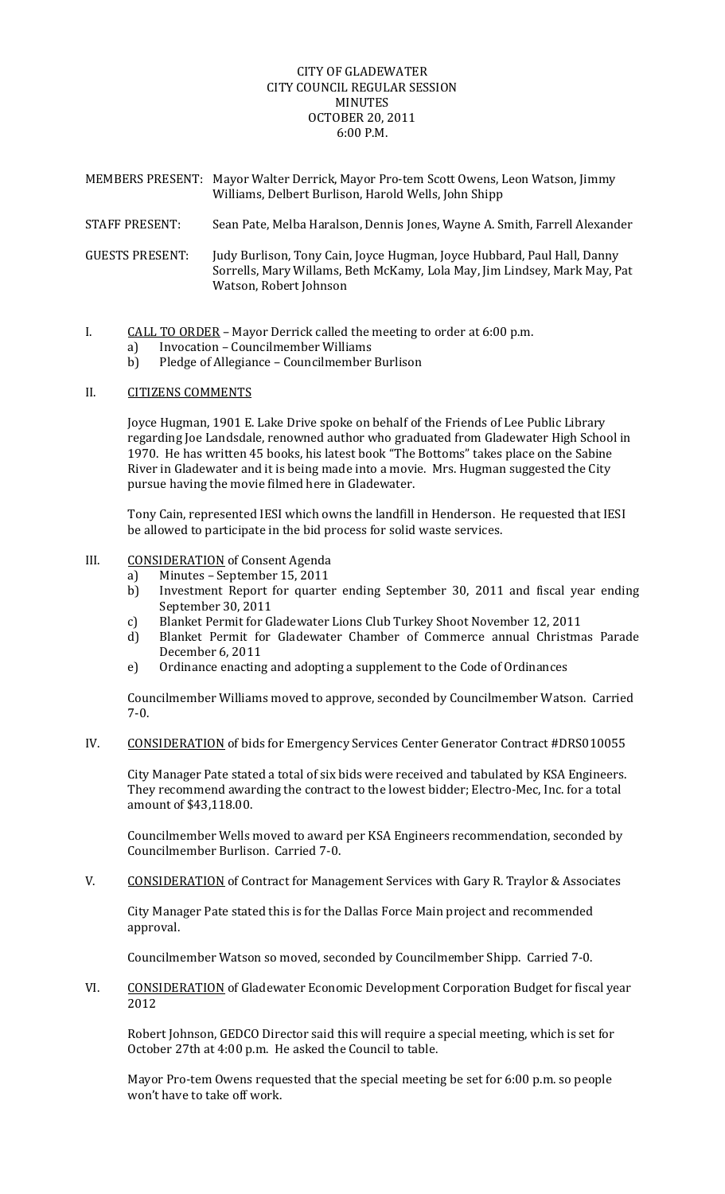# CITY OF GLADEWATER CITY COUNCIL REGULAR SESSION MINUTES OCTOBER 20, 2011 6:00 P.M.

| MEMBERS PRESENT: Mayor Walter Derrick, Mayor Pro-tem Scott Owens, Leon Watson, Jimmy |
|--------------------------------------------------------------------------------------|
| Williams, Delbert Burlison, Harold Wells, John Shipp                                 |

STAFF PRESENT: Sean Pate, Melba Haralson, Dennis Jones, Wayne A. Smith, Farrell Alexander

GUESTS PRESENT: Judy Burlison, Tony Cain, Joyce Hugman, Joyce Hubbard, Paul Hall, Danny Sorrells, Mary Willams, Beth McKamy, Lola May, Jim Lindsey, Mark May, Pat Watson, Robert Johnson

- I. CALL TO ORDER Mayor Derrick called the meeting to order at 6:00 p.m.
	- a) Invocation Councilmember Williams
	- b) Pledge of Allegiance Councilmember Burlison

#### II. CITIZENS COMMENTS

 Joyce Hugman, 1901 E. Lake Drive spoke on behalf of the Friends of Lee Public Library regarding Joe Landsdale, renowned author who graduated from Gladewater High School in 1970. He has written 45 books, his latest book "The Bottoms" takes place on the Sabine River in Gladewater and it is being made into a movie. Mrs. Hugman suggested the City pursue having the movie filmed here in Gladewater.

 Tony Cain, represented IESI which owns the landfill in Henderson. He requested that IESI be allowed to participate in the bid process for solid waste services.

### III. CONSIDERATION of Consent Agenda

- a) Minutes September 15, 2011
- b) Investment Report for quarter ending September 30, 2011 and fiscal year ending September 30, 2011
- c) Blanket Permit for Gladewater Lions Club Turkey Shoot November 12, 2011
- d) Blanket Permit for Gladewater Chamber of Commerce annual Christmas Parade December 6, 2011
- e) Ordinance enacting and adopting a supplement to the Code of Ordinances

Councilmember Williams moved to approve, seconded by Councilmember Watson. Carried 7‐0.

IV. CONSIDERATION of bids for Emergency Services Center Generator Contract #DRS010055

City Manager Pate stated a total of six bids were received and tabulated by KSA Engineers. They recommend awarding the contract to the lowest bidder; Electro‐Mec, Inc. for a total amount of \$43,118.00.

Councilmember Wells moved to award per KSA Engineers recommendation, seconded by Councilmember Burlison. Carried 7‐0.

V. CONSIDERATION of Contract for Management Services with Gary R. Traylor & Associates

City Manager Pate stated this is for the Dallas Force Main project and recommended approval.

Councilmember Watson so moved, seconded by Councilmember Shipp. Carried 7‐0.

VI. CONSIDERATION of Gladewater Economic Development Corporation Budget for fiscal year 2012

Robert Johnson, GEDCO Director said this will require a special meeting, which is set for October 27th at 4:00 p.m. He asked the Council to table.

Mayor Pro‐tem Owens requested that the special meeting be set for 6:00 p.m. so people won't have to take off work.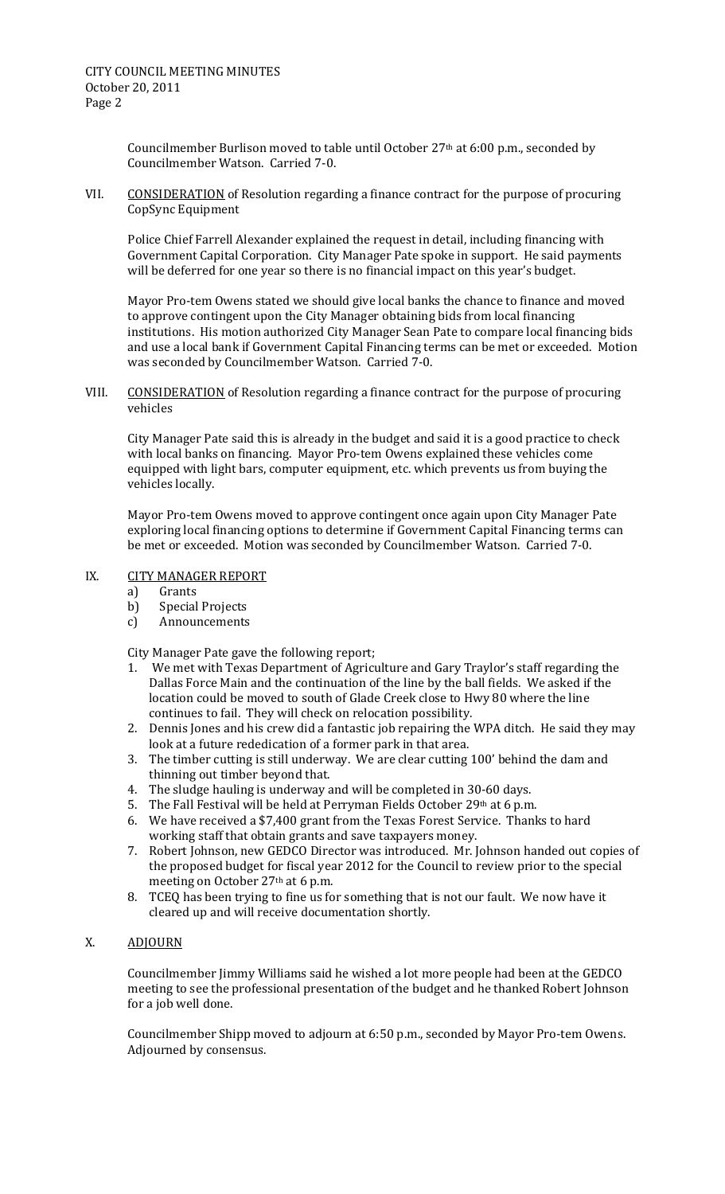Councilmember Burlison moved to table until October 27th at 6:00 p.m., seconded by Councilmember Watson. Carried 7‐0.

VII. CONSIDERATION of Resolution regarding a finance contract for the purpose of procuring CopSync Equipment

Police Chief Farrell Alexander explained the request in detail, including financing with Government Capital Corporation. City Manager Pate spoke in support. He said payments will be deferred for one year so there is no financial impact on this year's budget.

Mayor Pro‐tem Owens stated we should give local banks the chance to finance and moved to approve contingent upon the City Manager obtaining bids from local financing institutions. His motion authorized City Manager Sean Pate to compare local financing bids and use a local bank if Government Capital Financing terms can be met or exceeded. Motion was seconded by Councilmember Watson. Carried 7‐0.

VIII. CONSIDERATION of Resolution regarding a finance contract for the purpose of procuring vehicles

City Manager Pate said this is already in the budget and said it is a good practice to check with local banks on financing. Mayor Pro-tem Owens explained these vehicles come equipped with light bars, computer equipment, etc. which prevents us from buying the vehicles locally.

Mayor Pro‐tem Owens moved to approve contingent once again upon City Manager Pate exploring local financing options to determine if Government Capital Financing terms can be met or exceeded. Motion was seconded by Councilmember Watson. Carried 7‐0.

# IX. CITY MANAGER REPORT

- a) Grants
- b) Special Projects
- c) Announcements

City Manager Pate gave the following report;

- 1. We met with Texas Department of Agriculture and Gary Traylor's staff regarding the Dallas Force Main and the continuation of the line by the ball fields. We asked if the location could be moved to south of Glade Creek close to Hwy 80 where the line continues to fail. They will check on relocation possibility.
- 2. Dennis Jones and his crew did a fantastic job repairing the WPA ditch. He said they may look at a future rededication of a former park in that area.
- 3. The timber cutting is still underway. We are clear cutting 100' behind the dam and thinning out timber beyond that.
- 4. The sludge hauling is underway and will be completed in 30‐60 days.
- 5. The Fall Festival will be held at Perryman Fields October 29th at 6 p.m.
- 6. We have received a \$7,400 grant from the Texas Forest Service. Thanks to hard working staff that obtain grants and save taxpayers money.
- 7. Robert Johnson, new GEDCO Director was introduced. Mr. Johnson handed out copies of the proposed budget for fiscal year 2012 for the Council to review prior to the special meeting on October 27th at 6 p.m.
- 8. TCEQ has been trying to fine us for something that is not our fault. We now have it cleared up and will receive documentation shortly.

### X. ADJOURN

Councilmember Jimmy Williams said he wished a lot more people had been at the GEDCO meeting to see the professional presentation of the budget and he thanked Robert Johnson for a job well done.

Councilmember Shipp moved to adjourn at 6:50 p.m., seconded by Mayor Pro‐tem Owens. Adjourned by consensus.